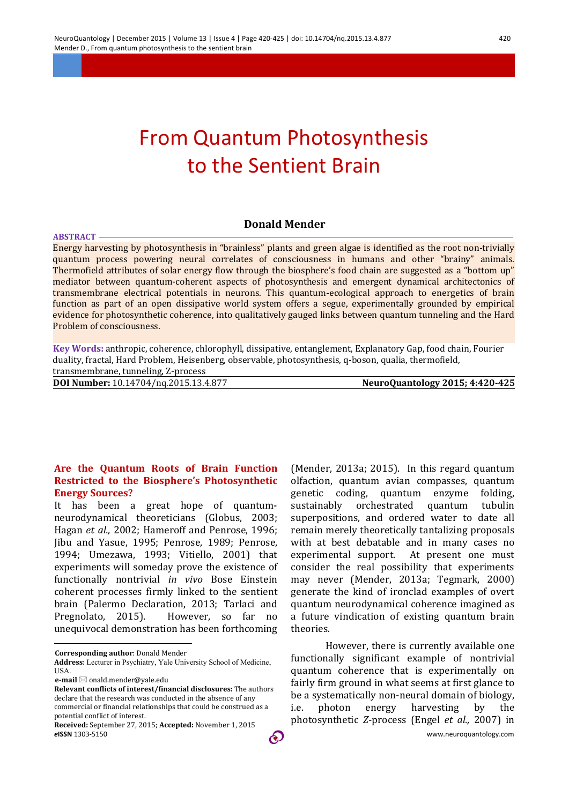# From Quantum Photosynthesis to the Sentient Brain

## **Donald Mender**

Energy harvesting by photosynthesis in "brainless" plants and green algae is identified as the root non-trivially quantum process powering neural correlates of consciousness in humans and other "brainy" animals. Thermofield attributes of solar energy flow through the biosphere's food chain are suggested as a "bottom up" mediator between quantum-coherent aspects of photosynthesis and emergent dynamical architectonics of transmembrane electrical potentials in neurons. This quantum-ecological approach to energetics of brain function as part of an open dissipative world system offers a segue, experimentally grounded by empirical evidence for photosynthetic coherence, into qualitatively gauged links between quantum tunneling and the Hard Problem of consciousness.

**Key Words:** anthropic, coherence, chlorophyll, dissipative, entanglement, Explanatory Gap, food chain, Fourier duality, fractal, Hard Problem, Heisenberg, observable, photosynthesis, q-boson, qualia, thermofield,

transmembrane, tunneling, Z-process

**ABSTRACT**

**DOI Number:** 10.14704/nq.2015.13.4.877 **NeuroQuantology 2015; 4:420-425**

#### **Are the Quantum Roots of Brain Function Restricted to the Biosphere's Photosynthetic Energy Sources?**

It has been a great hope of quantumneurodynamical theoreticians (Globus, 2003; Hagan *et al.,* 2002; Hameroff and Penrose, 1996; Jibu and Yasue, 1995; Penrose, 1989; Penrose, 1994; Umezawa, 1993; Vitiello, 2001) that experiments will someday prove the existence of functionally nontrivial *in vivo* Bose Einstein coherent processes firmly linked to the sentient brain (Palermo Declaration, 2013; Tarlaci and Pregnolato. 2015). However, so far no However, so far no unequivocal demonstration has been forthcoming

**Corresponding author**: Donald Mender

**Address**: Lecturer in Psychiatry, Yale University School of Medicine, **USA** 

 $\overline{a}$ 

(Mender, 2013a; 2015). In this regard quantum olfaction, quantum avian compasses, quantum genetic coding, quantum enzyme folding, sustainably orchestrated quantum tubulin superpositions, and ordered water to date all remain merely theoretically tantalizing proposals with at best debatable and in many cases no experimental support. At present one must consider the real possibility that experiments may never (Mender, 2013a; Tegmark, 2000) generate the kind of ironclad examples of overt quantum neurodynamical coherence imagined as a future vindication of existing quantum brain theories.

However, there is currently available one functionally significant example of nontrivial quantum coherence that is experimentally on fairly firm ground in what seems at first glance to be a systematically non-neural domain of biology, i.e. photon energy harvesting by the photosynthetic *Z*-process (Engel *et al.,* 2007) in

**e-mail** ⊠ onald.mender@yale.edu

**Relevant conflicts of interest/financial disclosures:** The authors declare that the research was conducted in the absence of any commercial or financial relationships that could be construed as a potential conflict of interest.

*e***ISSN** 1303-5150 www.neuroquantology.com **Received:** September 27, 2015; **Accepted:** November 1, 2015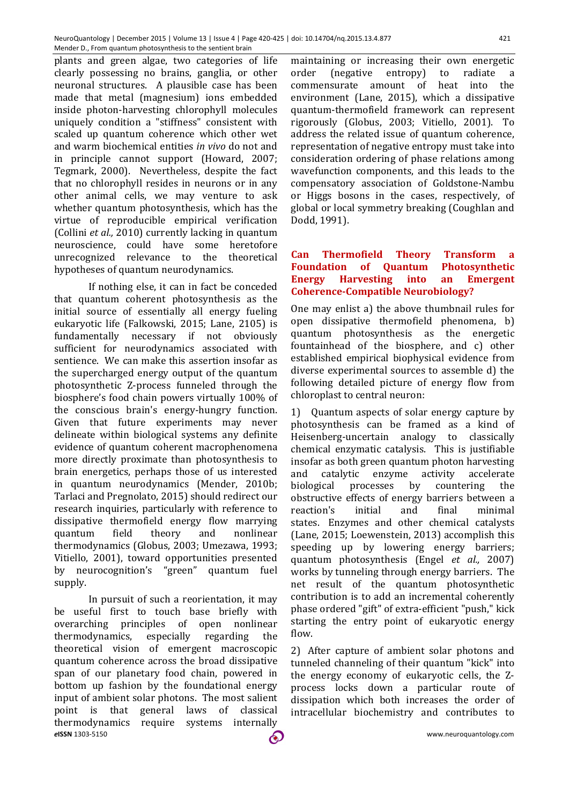plants and green algae, two categories of life clearly possessing no brains, ganglia, or other neuronal structures. A plausible case has been made that metal (magnesium) ions embedded inside photon-harvesting chlorophyll molecules uniquely condition a "stiffness" consistent with scaled up quantum coherence which other wet and warm biochemical entities *in vivo* do not and in principle cannot support (Howard, 2007; Tegmark, 2000). Nevertheless, despite the fact that no chlorophyll resides in neurons or in any other animal cells, we may venture to ask whether quantum photosynthesis, which has the virtue of reproducible empirical verification (Collini *et al.,* 2010) currently lacking in quantum neuroscience, could have some heretofore unrecognized relevance to the theoretical hypotheses of quantum neurodynamics.

If nothing else, it can in fact be conceded that quantum coherent photosynthesis as the initial source of essentially all energy fueling eukaryotic life (Falkowski, 2015; Lane, 2105) is fundamentally necessary if not obviously sufficient for neurodynamics associated with sentience. We can make this assertion insofar as the supercharged energy output of the quantum photosynthetic Z-process funneled through the biosphere's food chain powers virtually 100% of the conscious brain's energy-hungry function. Given that future experiments may never delineate within biological systems any definite evidence of quantum coherent macrophenomena more directly proximate than photosynthesis to brain energetics, perhaps those of us interested in quantum neurodynamics (Mender, 2010b; Tarlaci and Pregnolato, 2015) should redirect our research inquiries, particularly with reference to dissipative thermofield energy flow marrying quantum field theory and nonlinear thermodynamics (Globus, 2003; Umezawa, 1993; Vitiello, 2001), toward opportunities presented by neurocognition's "green" quantum fuel supply.

*e***ISSN** 1303-5150 www.neuroquantology.com In pursuit of such a reorientation, it may be useful first to touch base briefly with overarching principles of open nonlinear thermodynamics, especially regarding the theoretical vision of emergent macroscopic quantum coherence across the broad dissipative span of our planetary food chain, powered in bottom up fashion by the foundational energy input of ambient solar photons. The most salient point is that general laws of classical thermodynamics require systems internally

maintaining or increasing their own energetic order (negative entropy) to radiate a commensurate amount of heat into the environment (Lane, 2015), which a dissipative quantum-thermofield framework can represent rigorously (Globus, 2003; Vitiello, 2001). To address the related issue of quantum coherence, representation of negative entropy must take into consideration ordering of phase relations among wavefunction components, and this leads to the compensatory association of Goldstone-Nambu or Higgs bosons in the cases, respectively, of global or local symmetry breaking (Coughlan and Dodd, 1991).

# **Can Thermofield Theory Transform a Foundation of Quantum Photosynthetic Energy Harvesting into an Emergent Coherence-Compatible Neurobiology?**

One may enlist a) the above thumbnail rules for open dissipative thermofield phenomena, b) quantum photosynthesis as the energetic fountainhead of the biosphere, and c) other established empirical biophysical evidence from diverse experimental sources to assemble d) the following detailed picture of energy flow from chloroplast to central neuron:

1) Quantum aspects of solar energy capture by photosynthesis can be framed as a kind of Heisenberg-uncertain analogy to classically chemical enzymatic catalysis. This is justifiable insofar as both green quantum photon harvesting and catalytic enzyme activity accelerate biological processes by countering the obstructive effects of energy barriers between a reaction's initial and final minimal states. Enzymes and other chemical catalysts (Lane, 2015; Loewenstein, 2013) accomplish this speeding up by lowering energy barriers; quantum photosynthesis (Engel *et al.,* 2007) works by tunneling through energy barriers. The net result of the quantum photosynthetic contribution is to add an incremental coherently phase ordered "gift" of extra-efficient "push," kick starting the entry point of eukaryotic energy flow.

2) After capture of ambient solar photons and tunneled channeling of their quantum "kick" into the energy economy of eukaryotic cells, the Zprocess locks down a particular route of dissipation which both increases the order of intracellular biochemistry and contributes to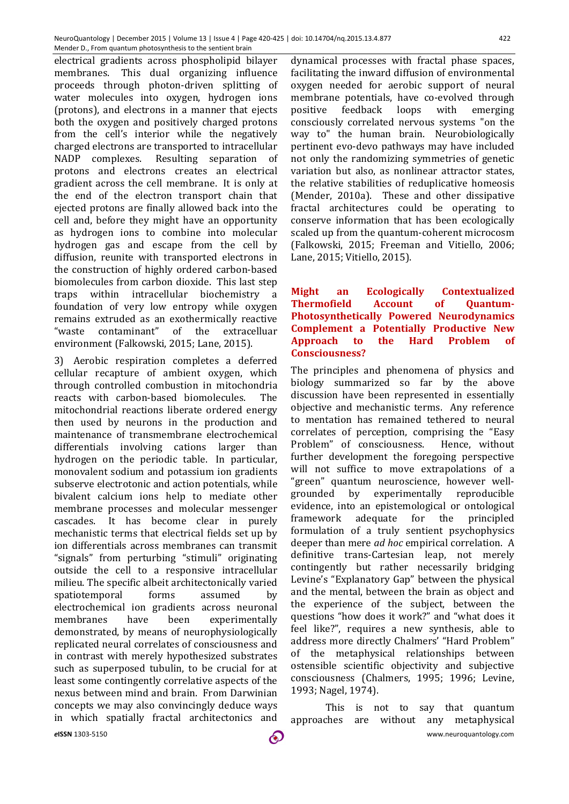electrical gradients across phospholipid bilayer membranes. This dual organizing influence proceeds through photon-driven splitting of water molecules into oxygen, hydrogen ions (protons), and electrons in a manner that ejects both the oxygen and positively charged protons from the cell's interior while the negatively charged electrons are transported to intracellular NADP complexes. Resulting separation of protons and electrons creates an electrical gradient across the cell membrane. It is only at the end of the electron transport chain that ejected protons are finally allowed back into the cell and, before they might have an opportunity as hydrogen ions to combine into molecular hydrogen gas and escape from the cell by diffusion, reunite with transported electrons in the construction of highly ordered carbon-based biomolecules from carbon dioxide. This last step traps within intracellular biochemistry a foundation of very low entropy while oxygen remains extruded as an exothermically reactive "waste contaminant" of the extracelluar environment (Falkowski, 2015; Lane, 2015).

*e***ISSN** 1303-5150 www.neuroquantology.com 3) Aerobic respiration completes a deferred cellular recapture of ambient oxygen, which through controlled combustion in mitochondria reacts with carbon-based biomolecules. The mitochondrial reactions liberate ordered energy then used by neurons in the production and maintenance of transmembrane electrochemical differentials involving cations larger than hydrogen on the periodic table. In particular, monovalent sodium and potassium ion gradients subserve electrotonic and action potentials, while bivalent calcium ions help to mediate other membrane processes and molecular messenger cascades. It has become clear in purely mechanistic terms that electrical fields set up by ion differentials across membranes can transmit "signals" from perturbing "stimuli" originating outside the cell to a responsive intracellular milieu. The specific albeit architectonically varied spatiotemporal forms assumed by electrochemical ion gradients across neuronal membranes have been experimentally demonstrated, by means of neurophysiologically replicated neural correlates of consciousness and in contrast with merely hypothesized substrates such as superposed tubulin, to be crucial for at least some contingently correlative aspects of the nexus between mind and brain. From Darwinian concepts we may also convincingly deduce ways in which spatially fractal architectonics and

dynamical processes with fractal phase spaces, facilitating the inward diffusion of environmental oxygen needed for aerobic support of neural membrane potentials, have co-evolved through positive feedback loops with emerging consciously correlated nervous systems "on the way to" the human brain. Neurobiologically pertinent evo-devo pathways may have included not only the randomizing symmetries of genetic variation but also, as nonlinear attractor states, the relative stabilities of reduplicative homeosis (Mender, 2010a). These and other dissipative fractal architectures could be operating to conserve information that has been ecologically scaled up from the quantum-coherent microcosm (Falkowski, 2015; Freeman and Vitiello, 2006; Lane, 2015; Vitiello, 2015).

## **Might an Ecologically Contextualized Thermofield Account of Quantum-Photosynthetically Powered Neurodynamics Complement a Potentially Productive New Approach to the Hard Problem of Consciousness?**

The principles and phenomena of physics and biology summarized so far by the above discussion have been represented in essentially objective and mechanistic terms. Any reference to mentation has remained tethered to neural correlates of perception, comprising the "Easy Problem" of consciousness. Hence, without further development the foregoing perspective will not suffice to move extrapolations of a "green" quantum neuroscience, however wellgrounded by experimentally reproducible evidence, into an epistemological or ontological framework adequate for the principled formulation of a truly sentient psychophysics deeper than mere *ad hoc* empirical correlation. A definitive trans-Cartesian leap, not merely contingently but rather necessarily bridging Levine's "Explanatory Gap" between the physical and the mental, between the brain as object and the experience of the subject, between the questions "how does it work?" and "what does it feel like?", requires a new synthesis, able to address more directly Chalmers' "Hard Problem" of the metaphysical relationships between ostensible scientific objectivity and subjective consciousness (Chalmers, 1995; 1996; Levine, 1993; Nagel, 1974).

This is not to say that quantum approaches are without any metaphysical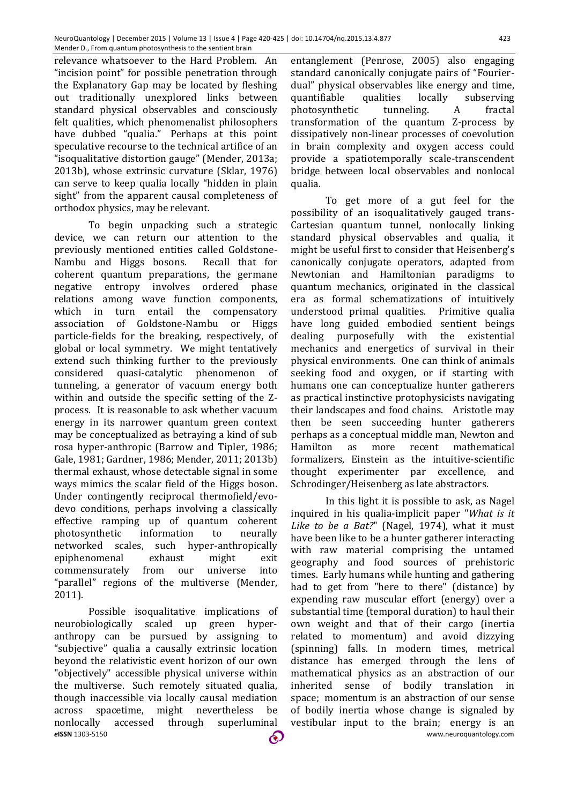relevance whatsoever to the Hard Problem. An "incision point" for possible penetration through the Explanatory Gap may be located by fleshing out traditionally unexplored links between standard physical observables and consciously felt qualities, which phenomenalist philosophers have dubbed "qualia." Perhaps at this point speculative recourse to the technical artifice of an "isoqualitative distortion gauge" (Mender, 2013a; 2013b), whose extrinsic curvature (Sklar, 1976) can serve to keep qualia locally "hidden in plain sight" from the apparent causal completeness of orthodox physics, may be relevant.

To begin unpacking such a strategic device, we can return our attention to the previously mentioned entities called Goldstone-Nambu and Higgs bosons. Recall that for coherent quantum preparations, the germane negative entropy involves ordered phase relations among wave function components, which in turn entail the compensatory association of Goldstone-Nambu or Higgs particle-fields for the breaking, respectively, of global or local symmetry. We might tentatively extend such thinking further to the previously considered quasi-catalytic phenomenon of tunneling, a generator of vacuum energy both within and outside the specific setting of the Zprocess. It is reasonable to ask whether vacuum energy in its narrower quantum green context may be conceptualized as betraying a kind of sub rosa hyper-anthropic (Barrow and Tipler, 1986; Gale, 1981; Gardner, 1986; Mender, 2011; 2013b) thermal exhaust, whose detectable signal in some ways mimics the scalar field of the Higgs boson. Under contingently reciprocal thermofield/evodevo conditions, perhaps involving a classically effective ramping up of quantum coherent photosynthetic information to neurally networked scales, such hyper-anthropically epiphenomenal exhaust might exit commensurately from our universe into "parallel" regions of the multiverse (Mender, 2011).

*e***ISSN** 1303-5150 www.neuroquantology.com Possible isoqualitative implications of neurobiologically scaled up green hyperanthropy can be pursued by assigning to "subjective" qualia a causally extrinsic location beyond the relativistic event horizon of our own "objectively" accessible physical universe within the multiverse. Such remotely situated qualia, though inaccessible via locally causal mediation across spacetime, might nevertheless be nonlocally accessed through superluminal

entanglement (Penrose, 2005) also engaging standard canonically conjugate pairs of "Fourierdual" physical observables like energy and time, quantifiable qualities locally subserving photosynthetic tunneling. A fractal transformation of the quantum Z-process by dissipatively non-linear processes of coevolution in brain complexity and oxygen access could provide a spatiotemporally scale-transcendent bridge between local observables and nonlocal qualia.

To get more of a gut feel for the possibility of an isoqualitatively gauged trans-Cartesian quantum tunnel, nonlocally linking standard physical observables and qualia, it might be useful first to consider that Heisenberg's canonically conjugate operators, adapted from Newtonian and Hamiltonian paradigms to quantum mechanics, originated in the classical era as formal schematizations of intuitively understood primal qualities. Primitive qualia have long guided embodied sentient beings dealing purposefully with the existential mechanics and energetics of survival in their physical environments. One can think of animals seeking food and oxygen, or if starting with humans one can conceptualize hunter gatherers as practical instinctive protophysicists navigating their landscapes and food chains. Aristotle may then be seen succeeding hunter gatherers perhaps as a conceptual middle man, Newton and Hamilton as more recent mathematical formalizers, Einstein as the intuitive-scientific thought experimenter par excellence, and Schrodinger/Heisenberg as late abstractors.

In this light it is possible to ask, as Nagel inquired in his qualia-implicit paper "*What is it Like to be a Bat?*" (Nagel, 1974), what it must have been like to be a hunter gatherer interacting with raw material comprising the untamed geography and food sources of prehistoric times. Early humans while hunting and gathering had to get from "here to there" (distance) by expending raw muscular effort (energy) over a substantial time (temporal duration) to haul their own weight and that of their cargo (inertia related to momentum) and avoid dizzying (spinning) falls. In modern times, metrical distance has emerged through the lens of mathematical physics as an abstraction of our inherited sense of bodily translation in space; momentum is an abstraction of our sense of bodily inertia whose change is signaled by vestibular input to the brain; energy is an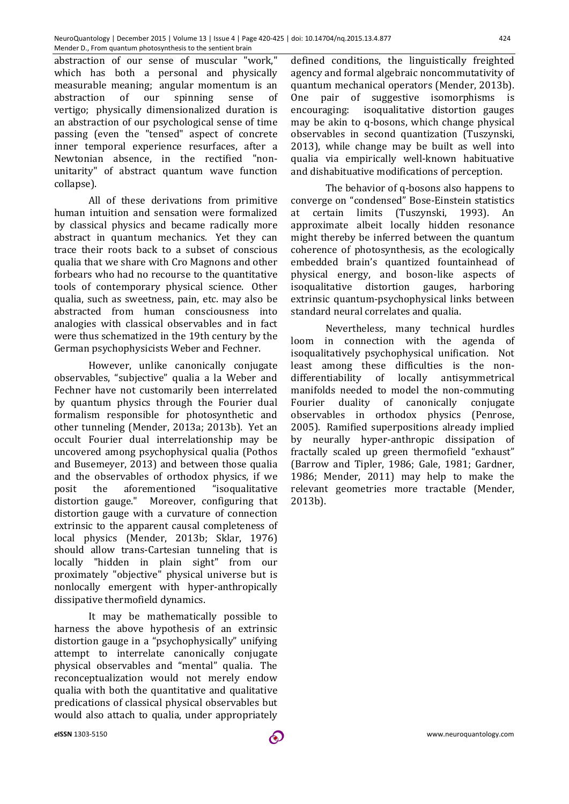abstraction of our sense of muscular "work," which has both a personal and physically measurable meaning; angular momentum is an abstraction of our spinning sense of vertigo; physically dimensionalized duration is an abstraction of our psychological sense of time passing (even the "tensed" aspect of concrete inner temporal experience resurfaces, after a Newtonian absence, in the rectified "nonunitarity" of abstract quantum wave function collapse).

All of these derivations from primitive human intuition and sensation were formalized by classical physics and became radically more abstract in quantum mechanics. Yet they can trace their roots back to a subset of conscious qualia that we share with Cro Magnons and other forbears who had no recourse to the quantitative tools of contemporary physical science. Other qualia, such as sweetness, pain, etc. may also be abstracted from human consciousness into analogies with classical observables and in fact were thus schematized in the 19th century by the German psychophysicists Weber and Fechner.

However, unlike canonically conjugate observables, "subjective" qualia a la Weber and Fechner have not customarily been interrelated by quantum physics through the Fourier dual formalism responsible for photosynthetic and other tunneling (Mender, 2013a; 2013b). Yet an occult Fourier dual interrelationship may be uncovered among psychophysical qualia (Pothos and Busemeyer, 2013) and between those qualia and the observables of orthodox physics, if we posit the aforementioned "isoqualitative distortion gauge." Moreover, configuring that distortion gauge with a curvature of connection extrinsic to the apparent causal completeness of local physics (Mender, 2013b; Sklar, 1976) should allow trans-Cartesian tunneling that is locally "hidden in plain sight" from our proximately "objective" physical universe but is nonlocally emergent with hyper-anthropically dissipative thermofield dynamics.

It may be mathematically possible to harness the above hypothesis of an extrinsic distortion gauge in a "psychophysically" unifying attempt to interrelate canonically conjugate physical observables and "mental" qualia. The reconceptualization would not merely endow qualia with both the quantitative and qualitative predications of classical physical observables but would also attach to qualia, under appropriately

defined conditions, the linguistically freighted agency and formal algebraic noncommutativity of quantum mechanical operators (Mender, 2013b). One pair of suggestive isomorphisms is encouraging: isoqualitative distortion gauges may be akin to q-bosons, which change physical observables in second quantization (Tuszynski, 2013), while change may be built as well into qualia via empirically well-known habituative and dishabituative modifications of perception.

The behavior of q-bosons also happens to converge on "condensed" Bose-Einstein statistics at certain limits (Tuszynski, 1993). An approximate albeit locally hidden resonance might thereby be inferred between the quantum coherence of photosynthesis, as the ecologically embedded brain's quantized fountainhead of physical energy, and boson-like aspects of isoqualitative distortion gauges, harboring extrinsic quantum-psychophysical links between standard neural correlates and qualia.

Nevertheless, many technical hurdles loom in connection with the agenda of isoqualitatively psychophysical unification. Not least among these difficulties is the nondifferentiability of locally antisymmetrical manifolds needed to model the non-commuting Fourier duality of canonically conjugate observables in orthodox physics (Penrose, 2005). Ramified superpositions already implied by neurally hyper-anthropic dissipation of fractally scaled up green thermofield "exhaust" (Barrow and Tipler, 1986; Gale, 1981; Gardner, 1986; Mender, 2011) may help to make the relevant geometries more tractable (Mender, 2013b).